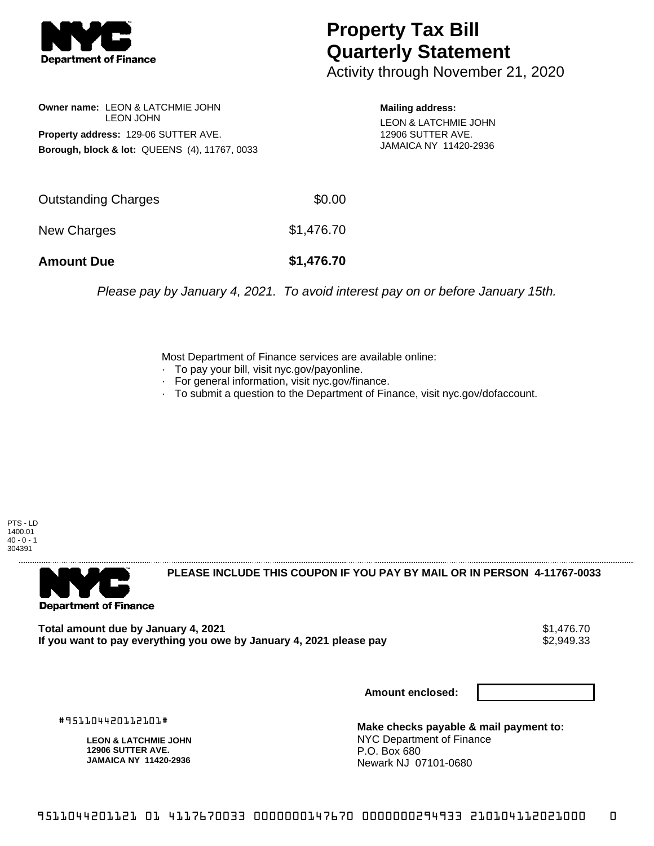

## **Property Tax Bill Quarterly Statement**

Activity through November 21, 2020

**Owner name:** LEON & LATCHMIE JOHN LEON JOHN **Property address:** 129-06 SUTTER AVE. **Borough, block & lot:** QUEENS (4), 11767, 0033 **Mailing address:** LEON & LATCHMIE JOHN 12906 SUTTER AVE. JAMAICA NY 11420-2936

| <b>Amount Due</b>   | \$1,476.70 |
|---------------------|------------|
| New Charges         | \$1,476.70 |
| Outstanding Charges | \$0.00     |

Please pay by January 4, 2021. To avoid interest pay on or before January 15th.

Most Department of Finance services are available online:

- · To pay your bill, visit nyc.gov/payonline.
- For general information, visit nyc.gov/finance.
- · To submit a question to the Department of Finance, visit nyc.gov/dofaccount.

PTS - LD 1400.01  $40 - 0 - 1$ 304391



**PLEASE INCLUDE THIS COUPON IF YOU PAY BY MAIL OR IN PERSON 4-11767-0033** 

Total amount due by January 4, 2021<br>If you want to pay everything you owe by January 4, 2021 please pay **show that the set of the set of the set of** If you want to pay everything you owe by January 4, 2021 please pay

**Amount enclosed:**

#951104420112101#

**LEON & LATCHMIE JOHN 12906 SUTTER AVE. JAMAICA NY 11420-2936**

**Make checks payable & mail payment to:** NYC Department of Finance P.O. Box 680 Newark NJ 07101-0680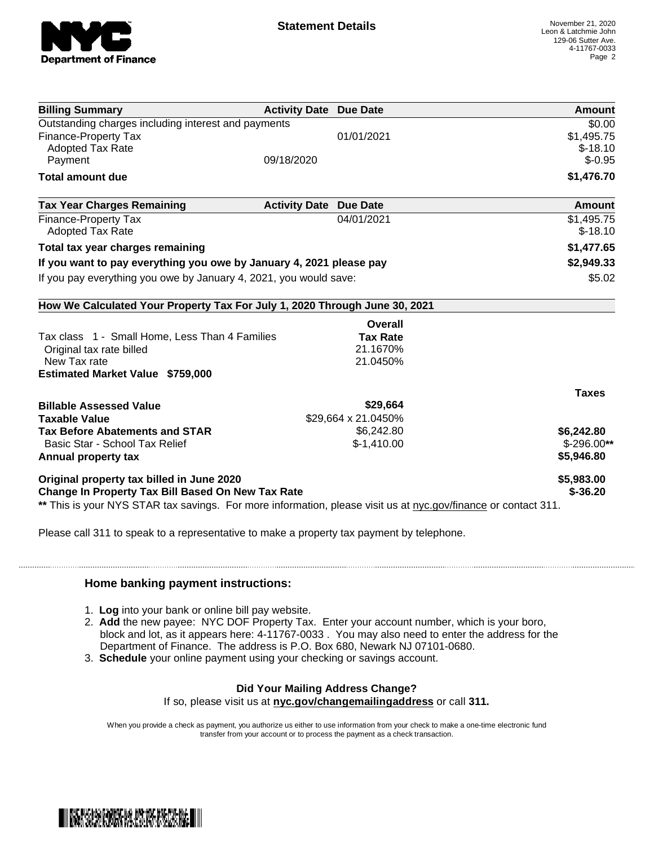

| <b>Billing Summary</b>                                                                                         | <b>Activity Date Due Date</b> |                     | Amount                  |
|----------------------------------------------------------------------------------------------------------------|-------------------------------|---------------------|-------------------------|
| Outstanding charges including interest and payments                                                            |                               |                     | \$0.00                  |
| Finance-Property Tax                                                                                           |                               | 01/01/2021          | \$1,495.75              |
| <b>Adopted Tax Rate</b>                                                                                        |                               |                     | $$-18.10$               |
| Payment                                                                                                        | 09/18/2020                    |                     | $$-0.95$                |
| <b>Total amount due</b>                                                                                        |                               |                     | \$1,476.70              |
| <b>Tax Year Charges Remaining</b>                                                                              | <b>Activity Date</b>          | <b>Due Date</b>     | Amount                  |
| <b>Finance-Property Tax</b><br><b>Adopted Tax Rate</b>                                                         |                               | 04/01/2021          | \$1,495.75<br>$$-18.10$ |
| Total tax year charges remaining                                                                               |                               |                     | \$1,477.65              |
| If you want to pay everything you owe by January 4, 2021 please pay                                            |                               |                     | \$2,949.33              |
| If you pay everything you owe by January 4, 2021, you would save:                                              |                               | \$5.02              |                         |
|                                                                                                                |                               |                     |                         |
| How We Calculated Your Property Tax For July 1, 2020 Through June 30, 2021                                     |                               |                     |                         |
|                                                                                                                |                               | Overall             |                         |
| Tax class 1 - Small Home, Less Than 4 Families                                                                 |                               | <b>Tax Rate</b>     |                         |
| Original tax rate billed                                                                                       |                               | 21.1670%            |                         |
| New Tax rate                                                                                                   |                               | 21.0450%            |                         |
| <b>Estimated Market Value \$759,000</b>                                                                        |                               |                     |                         |
|                                                                                                                |                               |                     | <b>Taxes</b>            |
| <b>Billable Assessed Value</b>                                                                                 |                               | \$29,664            |                         |
| <b>Taxable Value</b>                                                                                           |                               | \$29,664 x 21.0450% |                         |
| <b>Tax Before Abatements and STAR</b>                                                                          |                               | \$6,242.80          | \$6,242.80              |
| Basic Star - School Tax Relief                                                                                 |                               | $$-1,410.00$        | $$-296.00**$            |
| Annual property tax                                                                                            |                               |                     | \$5,946.80              |
| Original property tax billed in June 2020                                                                      |                               |                     | \$5,983.00              |
| <b>Change In Property Tax Bill Based On New Tax Rate</b>                                                       |                               |                     | $$ -36.20$              |
| ** This is your NYS STAR tax savings. For more information, please visit us at nyc.gov/finance or contact 311. |                               |                     |                         |
|                                                                                                                |                               |                     |                         |

Please call 311 to speak to a representative to make a property tax payment by telephone.

## **Home banking payment instructions:**

- 1. **Log** into your bank or online bill pay website.
- 2. **Add** the new payee: NYC DOF Property Tax. Enter your account number, which is your boro, block and lot, as it appears here: 4-11767-0033 . You may also need to enter the address for the Department of Finance. The address is P.O. Box 680, Newark NJ 07101-0680.
- 3. **Schedule** your online payment using your checking or savings account.

## **Did Your Mailing Address Change?**

If so, please visit us at **nyc.gov/changemailingaddress** or call **311.**

When you provide a check as payment, you authorize us either to use information from your check to make a one-time electronic fund transfer from your account or to process the payment as a check transaction.